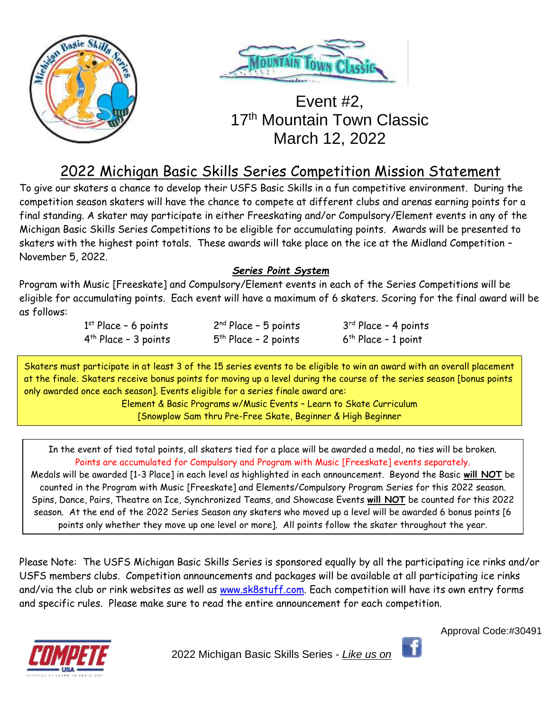



# Event #2, 17<sup>th</sup> Mountain Town Classic March 12, 2022

# 2022 Michigan Basic Skills Series Competition Mission Statement

To give our skaters a chance to develop their USFS Basic Skills in a fun competitive environment. During the competition season skaters will have the chance to compete at different clubs and arenas earning points for a final standing. A skater may participate in either Freeskating and/or Compulsory/Element events in any of the Michigan Basic Skills Series Competitions to be eligible for accumulating points. Awards will be presented to skaters with the highest point totals. These awards will take place on the ice at the Midland Competition – November 5, 2022.

## *Series Point System*

Program with Music [Freeskate] and Compulsory/Element events in each of the Series Competitions will be eligible for accumulating points. Each event will have a maximum of 6 skaters. Scoring for the final award will be as follows:

| $1st$ Place - 6 points | $2nd Place - 5 points$ | $3rd$ Place - 4 points |
|------------------------|------------------------|------------------------|
| $4th$ Place - 3 points | $5th$ Place - 2 points | $6th$ Place - 1 point  |

Skaters must participate in at least 3 of the 15 series events to be eligible to win an award with an overall placement at the finale. Skaters receive bonus points for moving up a level during the course of the series season [bonus points only awarded once each season]. Events eligible for a series finale award are:

Element & Basic Programs w/Music Events – Learn to Skate Curriculum [Snowplow Sam thru Pre-Free Skate, Beginner & High Beginner

In the event of tied total points, all skaters tied for a place will be awarded a medal, no ties will be broken. Points are accumulated for Compulsory and Program with Music [Freeskate] events separately. Medals will be awarded [1-3 Place] in each level as highlighted in each announcement. Beyond the Basic **will NOT** be counted in the Program with Music [Freeskate] and Elements/Compulsory Program Series for this 2022 season.

Spins, Dance, Pairs, Theatre on Ice, Synchronized Teams, and Showcase Events **will NOT** be counted for this 2022 season. At the end of the 2022 Series Season any skaters who moved up a level will be awarded 6 bonus points [6 points only whether they move up one level or more]. All points follow the skater throughout the year.

Please Note: The USFS Michigan Basic Skills Series is sponsored equally by all the participating ice rinks and/or USFS members clubs. Competition announcements and packages will be available at all participating ice rinks and/via the club or rink websites as well as [www.sk8stuff.com.](http://www.sk8stuff.com/) Each competition will have its own entry forms and specific rules. Please make sure to read the entire announcement for each competition.





2022 Michigan Basic Skills Series - *Like us on*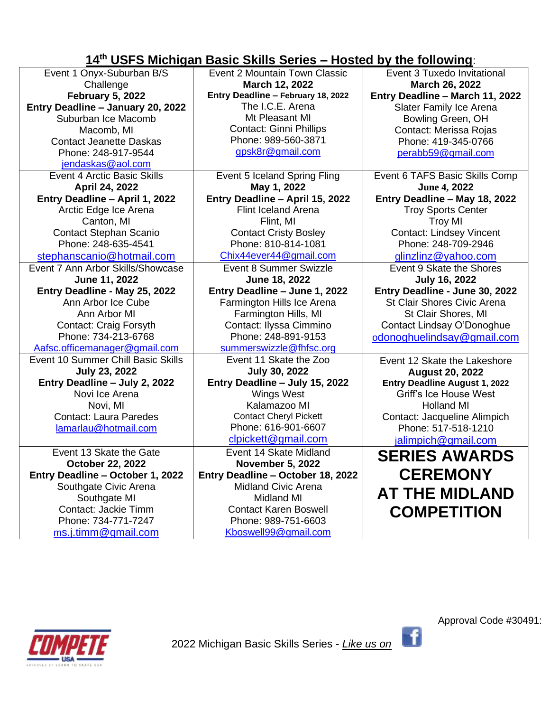## **14 th USFS Michigan Basic Skills Series – Hosted by the following**:

| Event 1 Onyx-Suburban B/S          | Event 2 Mountain Town Classic      | Event 3 Tuxedo Invitational     |
|------------------------------------|------------------------------------|---------------------------------|
| Challenge                          | March 12, 2022                     | March 26, 2022                  |
| <b>February 5, 2022</b>            | Entry Deadline - February 18, 2022 | Entry Deadline - March 11, 2022 |
| Entry Deadline - January 20, 2022  | The I.C.E. Arena                   | Slater Family Ice Arena         |
| Suburban Ice Macomb                | Mt Pleasant MI                     | Bowling Green, OH               |
| Macomb, MI                         | <b>Contact: Ginni Phillips</b>     | Contact: Merissa Rojas          |
| <b>Contact Jeanette Daskas</b>     | Phone: 989-560-3871                | Phone: 419-345-0766             |
| Phone: 248-917-9544                | gpsk8r@gmail.com                   | perabb59@gmail.com              |
| jendaskas@aol.com                  |                                    |                                 |
| Event 4 Arctic Basic Skills        | Event 5 Iceland Spring Fling       | Event 6 TAFS Basic Skills Comp  |
| April 24, 2022                     | May 1, 2022                        | June 4, 2022                    |
| Entry Deadline - April 1, 2022     | Entry Deadline - April 15, 2022    | Entry Deadline - May 18, 2022   |
| Arctic Edge Ice Arena              | <b>Flint Iceland Arena</b>         | <b>Troy Sports Center</b>       |
| Canton, MI                         | Flint, MI                          | <b>Troy MI</b>                  |
| <b>Contact Stephan Scanio</b>      | <b>Contact Cristy Bosley</b>       | <b>Contact: Lindsey Vincent</b> |
| Phone: 248-635-4541                | Phone: 810-814-1081                | Phone: 248-709-2946             |
| stephanscanio@hotmail.com          | Chix44ever44@gmail.com             | glinzlinz@yahoo.com             |
| Event 7 Ann Arbor Skills/Showcase  | Event 8 Summer Swizzle             | Event 9 Skate the Shores        |
| June 11, 2022                      | June 18, 2022                      | <b>July 16, 2022</b>            |
| Entry Deadline - May 25, 2022      | Entry Deadline - June 1, 2022      | Entry Deadline - June 30, 2022  |
| Ann Arbor Ice Cube                 | Farmington Hills Ice Arena         | St Clair Shores Civic Arena     |
| Ann Arbor MI                       | Farmington Hills, MI               | St Clair Shores, MI             |
| <b>Contact: Craig Forsyth</b>      | Contact: Ilyssa Cimmino            | Contact Lindsay O'Donoghue      |
| Phone: 734-213-6768                | Phone: 248-891-9153                | odonoghuelindsay@gmail.com      |
| Aafsc.officemanager@gmail.com      | summerswizzle@fhfsc.org            |                                 |
| Event 10 Summer Chill Basic Skills | Event 11 Skate the Zoo             | Event 12 Skate the Lakeshore    |
| <b>July 23, 2022</b>               | <b>July 30, 2022</b>               | <b>August 20, 2022</b>          |
| Entry Deadline - July 2, 2022      | Entry Deadline - July 15, 2022     | Entry Deadline August 1, 2022   |
| Novi Ice Arena                     | <b>Wings West</b>                  | Griff's Ice House West          |
| Novi, MI                           | Kalamazoo MI                       | <b>Holland MI</b>               |
| <b>Contact: Laura Paredes</b>      | <b>Contact Cheryl Pickett</b>      | Contact: Jacqueline Alimpich    |
| lamarlau@hotmail.com               | Phone: 616-901-6607                | Phone: 517-518-1210             |
|                                    | clpickett@gmail.com                | jalimpich@gmail.com             |
| Event 13 Skate the Gate            | Event 14 Skate Midland             | <b>SERIES AWARDS</b>            |
| October 22, 2022                   | <b>November 5, 2022</b>            |                                 |
| Entry Deadline - October 1, 2022   | Entry Deadline - October 18, 2022  | <b>CEREMONY</b>                 |
| Southgate Civic Arena              | <b>Midland Civic Arena</b>         | <b>AT THE MIDLAND</b>           |
| Southgate MI                       | <b>Midland MI</b>                  |                                 |
| Contact: Jackie Timm               | <b>Contact Karen Boswell</b>       | <b>COMPETITION</b>              |
| Phone: 734-771-7247                | Phone: 989-751-6603                |                                 |
| ms.j.timm@gmail.com                | Kboswell99@gmail.com               |                                 |



Approval Code #30491:

 $\mathbf{f}$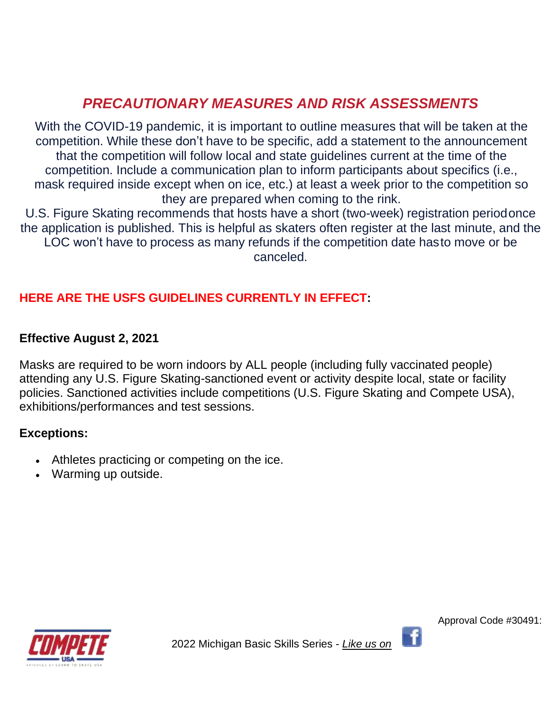# *PRECAUTIONARY MEASURES AND RISK ASSESSMENTS*

With the COVID-19 pandemic, it is important to outline measures that will be taken at the competition. While these don't have to be specific, add a statement to the announcement that the competition will follow local and state guidelines current at the time of the competition. Include a communication plan to inform participants about specifics (i.e., mask required inside except when on ice, etc.) at least a week prior to the competition so they are prepared when coming to the rink.

U.S. Figure Skating recommends that hosts have a short (two-week) registration periodonce the application is published. This is helpful as skaters often register at the last minute, and the LOC won't have to process as many refunds if the competition date hasto move or be canceled.

## **HERE ARE THE USFS GUIDELINES CURRENTLY IN EFFECT:**

## **Effective August 2, 2021**

Masks are required to be worn indoors by ALL people (including fully vaccinated people) attending any U.S. Figure Skating-sanctioned event or activity despite local, state or facility policies. Sanctioned activities include competitions (U.S. Figure Skating and Compete USA), exhibitions/performances and test sessions.

## **Exceptions:**

- Athletes practicing or competing on the ice.
- Warming up outside.



2022 Michigan Basic Skills Series - *Like us on*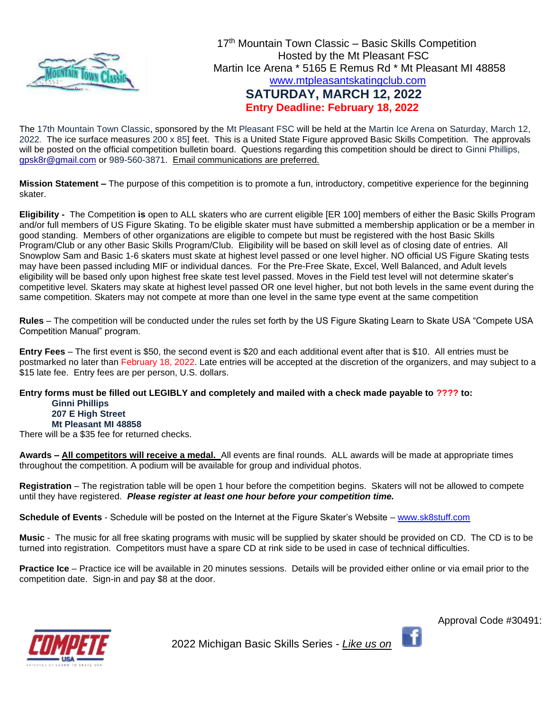

The 17th Mountain Town Classic, sponsored by the Mt Pleasant FSC will be held at the Martin Ice Arena on Saturday, March 12, 2022. The ice surface measures 200 x 85] feet. This is a United State Figure approved Basic Skills Competition. The approvals will be posted on the official competition bulletin board. Questions regarding this competition should be direct to Ginni Phillips, [gpsk8r@gmail.com](mailto:gpsk8r@gmail.com) or 989-560-3871. Email communications are preferred.

**Mission Statement –** The purpose of this competition is to promote a fun, introductory, competitive experience for the beginning skater.

**Eligibility -** The Competition **is** open to ALL skaters who are current eligible [ER 100] members of either the Basic Skills Program and/or full members of US Figure Skating. To be eligible skater must have submitted a membership application or be a member in good standing. Members of other organizations are eligible to compete but must be registered with the host Basic Skills Program/Club or any other Basic Skills Program/Club. Eligibility will be based on skill level as of closing date of entries. All Snowplow Sam and Basic 1-6 skaters must skate at highest level passed or one level higher. NO official US Figure Skating tests may have been passed including MIF or individual dances. For the Pre-Free Skate, Excel, Well Balanced, and Adult levels eligibility will be based only upon highest free skate test level passed. Moves in the Field test level will not determine skater's competitive level. Skaters may skate at highest level passed OR one level higher, but not both levels in the same event during the same competition. Skaters may not compete at more than one level in the same type event at the same competition

**Rules** – The competition will be conducted under the rules set forth by the US Figure Skating Learn to Skate USA "Compete USA Competition Manual" program.

**Entry Fees** – The first event is \$50, the second event is \$20 and each additional event after that is \$10. All entries must be postmarked no later than February 18, 2022. Late entries will be accepted at the discretion of the organizers, and may subject to a \$15 late fee. Entry fees are per person, U.S. dollars.

#### **Entry forms must be filled out LEGIBLY and completely and mailed with a check made payable to ???? to: Ginni Phillips 207 E High Street Mt Pleasant MI 48858**

There will be a \$35 fee for returned checks.

**Awards – All competitors will receive a medal.** All events are final rounds. ALL awards will be made at appropriate times throughout the competition. A podium will be available for group and individual photos.

**Registration** – The registration table will be open 1 hour before the competition begins. Skaters will not be allowed to compete until they have registered. *Please register at least one hour before your competition time.* 

**Schedule of Events** - Schedule will be posted on the Internet at the Figure Skater's Website – [www.sk8stuff.com](http://www.sk8stuff.com/)

**Music** - The music for all free skating programs with music will be supplied by skater should be provided on CD. The CD is to be turned into registration. Competitors must have a spare CD at rink side to be used in case of technical difficulties.

**Practice Ice** – Practice ice will be available in 20 minutes sessions. Details will be provided either online or via email prior to the competition date. Sign-in and pay \$8 at the door.



2022 Michigan Basic Skills Series - *Like us on*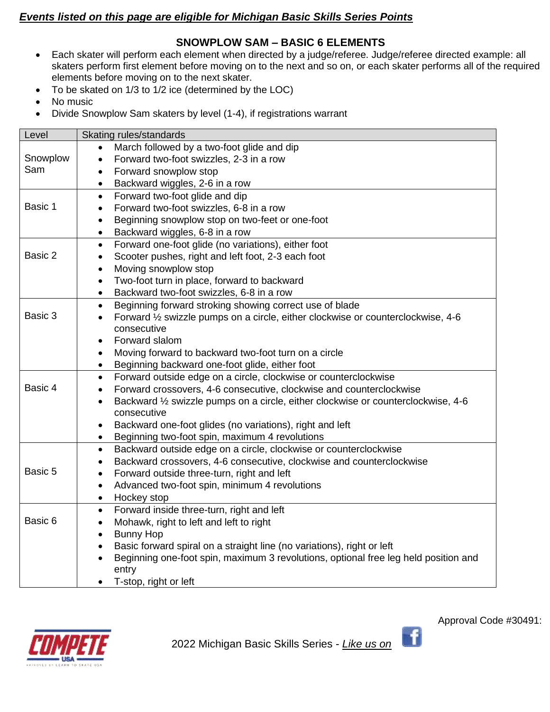## *Events listed on this page are eligible for Michigan Basic Skills Series Points*

### **SNOWPLOW SAM – BASIC 6 ELEMENTS**

- Each skater will perform each element when directed by a judge/referee. Judge/referee directed example: all skaters perform first element before moving on to the next and so on, or each skater performs all of the required elements before moving on to the next skater.
- To be skated on 1/3 to 1/2 ice (determined by the LOC)
- No music
- Divide Snowplow Sam skaters by level (1-4), if registrations warrant

| Level    | Skating rules/standards                                                                          |
|----------|--------------------------------------------------------------------------------------------------|
|          | March followed by a two-foot glide and dip                                                       |
| Snowplow | Forward two-foot swizzles, 2-3 in a row<br>$\bullet$                                             |
| Sam      | Forward snowplow stop<br>$\bullet$                                                               |
|          | Backward wiggles, 2-6 in a row<br>$\bullet$                                                      |
|          | Forward two-foot glide and dip<br>$\bullet$                                                      |
| Basic 1  | Forward two-foot swizzles, 6-8 in a row<br>$\bullet$                                             |
|          | Beginning snowplow stop on two-feet or one-foot<br>$\bullet$                                     |
|          | Backward wiggles, 6-8 in a row<br>$\bullet$                                                      |
|          | Forward one-foot glide (no variations), either foot<br>$\bullet$                                 |
| Basic 2  | Scooter pushes, right and left foot, 2-3 each foot                                               |
|          | Moving snowplow stop<br>$\bullet$                                                                |
|          | Two-foot turn in place, forward to backward<br>$\bullet$                                         |
|          | Backward two-foot swizzles, 6-8 in a row<br>$\bullet$                                            |
|          | Beginning forward stroking showing correct use of blade<br>$\bullet$                             |
| Basic 3  | Forward 1/2 swizzle pumps on a circle, either clockwise or counterclockwise, 4-6<br>$\bullet$    |
|          | consecutive                                                                                      |
|          | Forward slalom<br>$\bullet$                                                                      |
|          | Moving forward to backward two-foot turn on a circle<br>$\bullet$                                |
|          | Beginning backward one-foot glide, either foot<br>$\bullet$                                      |
|          | Forward outside edge on a circle, clockwise or counterclockwise<br>$\bullet$                     |
| Basic 4  | Forward crossovers, 4-6 consecutive, clockwise and counterclockwise<br>$\bullet$                 |
|          | Backward 1/2 swizzle pumps on a circle, either clockwise or counterclockwise, 4-6<br>$\bullet$   |
|          | consecutive                                                                                      |
|          | Backward one-foot glides (no variations), right and left<br>$\bullet$                            |
|          | Beginning two-foot spin, maximum 4 revolutions<br>$\bullet$                                      |
|          | Backward outside edge on a circle, clockwise or counterclockwise<br>$\bullet$                    |
|          | Backward crossovers, 4-6 consecutive, clockwise and counterclockwise<br>$\bullet$                |
| Basic 5  | Forward outside three-turn, right and left<br>$\bullet$                                          |
|          | Advanced two-foot spin, minimum 4 revolutions<br>$\bullet$                                       |
|          | Hockey stop<br>$\bullet$                                                                         |
|          | Forward inside three-turn, right and left<br>$\bullet$                                           |
| Basic 6  | Mohawk, right to left and left to right<br>$\bullet$                                             |
|          | <b>Bunny Hop</b><br>$\bullet$                                                                    |
|          | Basic forward spiral on a straight line (no variations), right or left<br>$\bullet$              |
|          | Beginning one-foot spin, maximum 3 revolutions, optional free leg held position and<br>$\bullet$ |
|          | entry                                                                                            |
|          | T-stop, right or left                                                                            |



Approval Code #30491:

 $\mathbf{f}$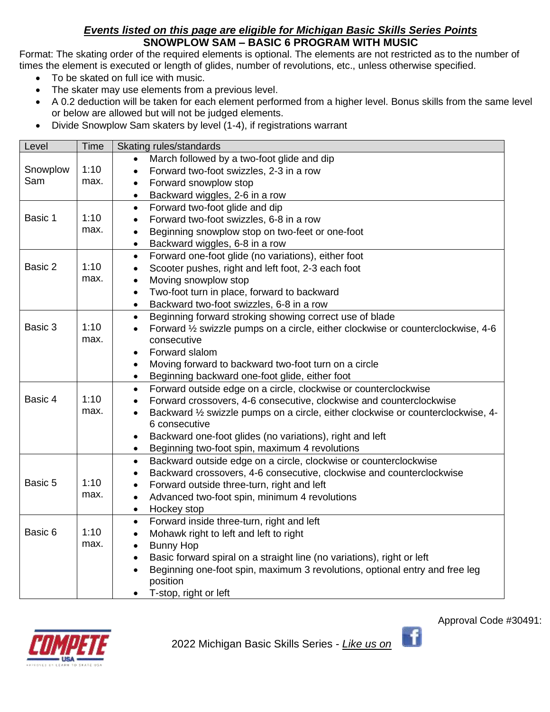## *Events listed on this page are eligible for Michigan Basic Skills Series Points* **SNOWPLOW SAM – BASIC 6 PROGRAM WITH MUSIC**

Format: The skating order of the required elements is optional. The elements are not restricted as to the number of times the element is executed or length of glides, number of revolutions, etc., unless otherwise specified.

- To be skated on full ice with music.
- The skater may use elements from a previous level.
- A 0.2 deduction will be taken for each element performed from a higher level. Bonus skills from the same level or below are allowed but will not be judged elements.
- Divide Snowplow Sam skaters by level (1-4), if registrations warrant

| Level    | Time | Skating rules/standards                                                                                        |  |  |
|----------|------|----------------------------------------------------------------------------------------------------------------|--|--|
|          |      | March followed by a two-foot glide and dip                                                                     |  |  |
| Snowplow | 1:10 | Forward two-foot swizzles, 2-3 in a row<br>$\bullet$                                                           |  |  |
| Sam      | max. | Forward snowplow stop<br>$\bullet$                                                                             |  |  |
|          |      | Backward wiggles, 2-6 in a row<br>$\bullet$                                                                    |  |  |
|          |      | Forward two-foot glide and dip<br>$\bullet$                                                                    |  |  |
| Basic 1  | 1:10 | Forward two-foot swizzles, 6-8 in a row<br>$\bullet$                                                           |  |  |
|          | max. | Beginning snowplow stop on two-feet or one-foot<br>$\bullet$                                                   |  |  |
|          |      | Backward wiggles, 6-8 in a row<br>$\bullet$                                                                    |  |  |
|          |      | Forward one-foot glide (no variations), either foot<br>$\bullet$                                               |  |  |
| Basic 2  | 1:10 | Scooter pushes, right and left foot, 2-3 each foot<br>$\bullet$                                                |  |  |
|          | max. | Moving snowplow stop<br>$\bullet$                                                                              |  |  |
|          |      | Two-foot turn in place, forward to backward<br>$\bullet$                                                       |  |  |
|          |      | Backward two-foot swizzles, 6-8 in a row<br>$\bullet$                                                          |  |  |
|          |      | Beginning forward stroking showing correct use of blade<br>$\bullet$                                           |  |  |
| Basic 3  | 1:10 | Forward 1/2 swizzle pumps on a circle, either clockwise or counterclockwise, 4-6<br>$\bullet$                  |  |  |
|          | max. | consecutive                                                                                                    |  |  |
|          |      | Forward slalom<br>$\bullet$                                                                                    |  |  |
|          |      | Moving forward to backward two-foot turn on a circle<br>$\bullet$                                              |  |  |
|          |      | Beginning backward one-foot glide, either foot<br>$\bullet$                                                    |  |  |
|          |      | Forward outside edge on a circle, clockwise or counterclockwise<br>$\bullet$                                   |  |  |
| Basic 4  | 1:10 | Forward crossovers, 4-6 consecutive, clockwise and counterclockwise<br>$\bullet$                               |  |  |
|          | max. | Backward 1/2 swizzle pumps on a circle, either clockwise or counterclockwise, 4-<br>$\bullet$<br>6 consecutive |  |  |
|          |      | Backward one-foot glides (no variations), right and left<br>$\bullet$                                          |  |  |
|          |      | Beginning two-foot spin, maximum 4 revolutions                                                                 |  |  |
|          |      | Backward outside edge on a circle, clockwise or counterclockwise<br>$\bullet$                                  |  |  |
|          |      | Backward crossovers, 4-6 consecutive, clockwise and counterclockwise                                           |  |  |
| Basic 5  | 1:10 | Forward outside three-turn, right and left<br>$\bullet$                                                        |  |  |
|          | max. | Advanced two-foot spin, minimum 4 revolutions<br>$\bullet$                                                     |  |  |
|          |      | Hockey stop<br>$\bullet$                                                                                       |  |  |
|          |      | Forward inside three-turn, right and left<br>$\bullet$                                                         |  |  |
| Basic 6  | 1:10 | Mohawk right to left and left to right<br>$\bullet$                                                            |  |  |
|          | max. | <b>Bunny Hop</b><br>$\bullet$                                                                                  |  |  |
|          |      | Basic forward spiral on a straight line (no variations), right or left<br>$\bullet$                            |  |  |
|          |      | Beginning one-foot spin, maximum 3 revolutions, optional entry and free leg<br>$\bullet$                       |  |  |
|          |      | position                                                                                                       |  |  |
|          |      | T-stop, right or left                                                                                          |  |  |



2022 Michigan Basic Skills Series - *Like us on* 

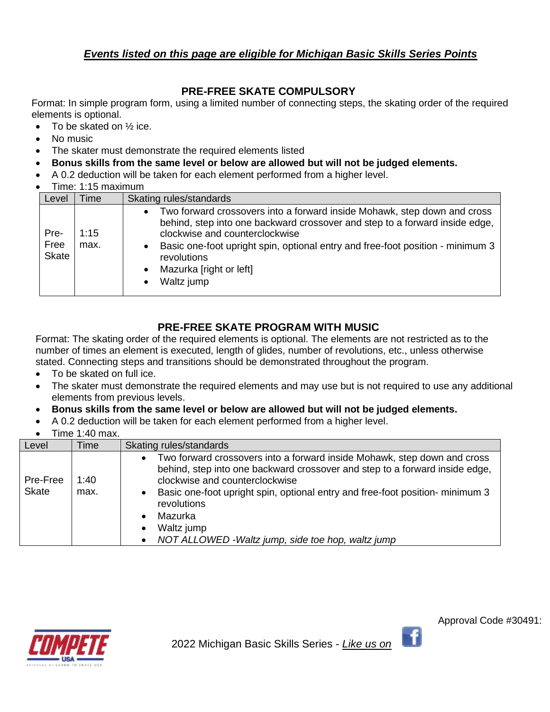## *Events listed on this page are eligible for Michigan Basic Skills Series Points*

## **PRE-FREE SKATE COMPULSORY**

Format: In simple program form, using a limited number of connecting steps, the skating order of the required elements is optional.

- To be skated on  $\frac{1}{2}$  ice.
- No music
- The skater must demonstrate the required elements listed
- **Bonus skills from the same level or below are allowed but will not be judged elements.**
- A 0.2 deduction will be taken for each element performed from a higher level.
- Time: 1:15 maximum

| Level                        | Time         | Skating rules/standards                                                                                                                                                                                                                                                                                                             |
|------------------------------|--------------|-------------------------------------------------------------------------------------------------------------------------------------------------------------------------------------------------------------------------------------------------------------------------------------------------------------------------------------|
| Pre-<br>Free<br><b>Skate</b> | 1:15<br>max. | Two forward crossovers into a forward inside Mohawk, step down and cross<br>behind, step into one backward crossover and step to a forward inside edge,<br>clockwise and counterclockwise<br>Basic one-foot upright spin, optional entry and free-foot position - minimum 3<br>revolutions<br>Mazurka [right or left]<br>Waltz jump |

## **PRE-FREE SKATE PROGRAM WITH MUSIC**

Format: The skating order of the required elements is optional. The elements are not restricted as to the number of times an element is executed, length of glides, number of revolutions, etc., unless otherwise stated. Connecting steps and transitions should be demonstrated throughout the program.

- To be skated on full ice.
- The skater must demonstrate the required elements and may use but is not required to use any additional elements from previous levels.
- **Bonus skills from the same level or below are allowed but will not be judged elements.**
- A 0.2 deduction will be taken for each element performed from a higher level.
- Time 1:40 max.

| Level                | Time | Skating rules/standards                                                                                                                                                                                |
|----------------------|------|--------------------------------------------------------------------------------------------------------------------------------------------------------------------------------------------------------|
| Pre-Free             | 1:40 | Two forward crossovers into a forward inside Mohawk, step down and cross<br>$\bullet$<br>behind, step into one backward crossover and step to a forward inside edge,<br>clockwise and counterclockwise |
| <b>Skate</b><br>max. |      | Basic one-foot upright spin, optional entry and free-foot position-minimum 3<br>revolutions                                                                                                            |
|                      |      | Mazurka                                                                                                                                                                                                |
|                      |      | Waltz jump                                                                                                                                                                                             |
|                      |      | NOT ALLOWED - Waltz jump, side toe hop, waltz jump                                                                                                                                                     |



Approval Code #30491:

÷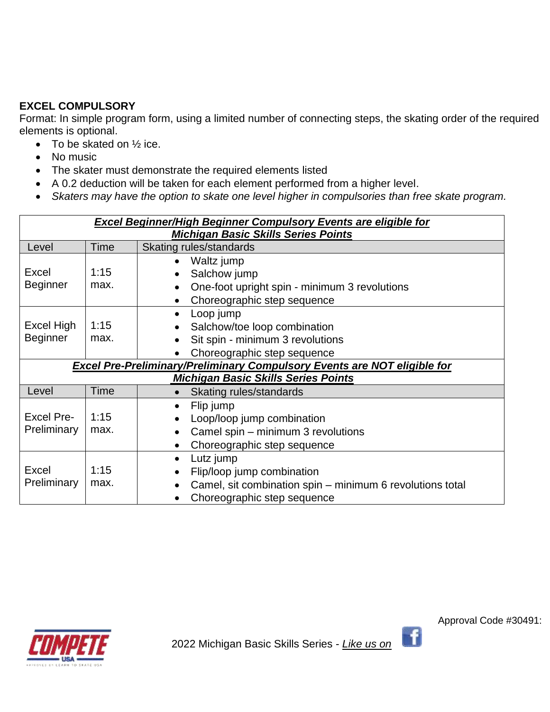## **EXCEL COMPULSORY**

Format: In simple program form, using a limited number of connecting steps, the skating order of the required elements is optional.

- To be skated on  $\frac{1}{2}$  ice.
- No music
- The skater must demonstrate the required elements listed
- A 0.2 deduction will be taken for each element performed from a higher level.
- *Skaters may have the option to skate one level higher in compulsories than free skate program.*

| <b>Excel Beginner/High Beginner Compulsory Events are eligible for</b> |                                            |                                                                                 |  |  |  |
|------------------------------------------------------------------------|--------------------------------------------|---------------------------------------------------------------------------------|--|--|--|
|                                                                        | <b>Michigan Basic Skills Series Points</b> |                                                                                 |  |  |  |
| Level                                                                  | Skating rules/standards<br>Time            |                                                                                 |  |  |  |
|                                                                        |                                            | Waltz jump<br>$\bullet$                                                         |  |  |  |
| Excel                                                                  | 1:15                                       | Salchow jump                                                                    |  |  |  |
| <b>Beginner</b>                                                        | max.                                       | One-foot upright spin - minimum 3 revolutions                                   |  |  |  |
|                                                                        |                                            | Choreographic step sequence<br>$\bullet$                                        |  |  |  |
|                                                                        |                                            | Loop jump<br>$\bullet$                                                          |  |  |  |
| Excel High                                                             | 1:15                                       | Salchow/toe loop combination                                                    |  |  |  |
| <b>Beginner</b>                                                        | max.                                       | Sit spin - minimum 3 revolutions                                                |  |  |  |
|                                                                        |                                            | Choreographic step sequence                                                     |  |  |  |
|                                                                        |                                            | <b>Excel Pre-Preliminary/Preliminary Compulsory Events are NOT eligible for</b> |  |  |  |
|                                                                        |                                            | <b>Michigan Basic Skills Series Points</b>                                      |  |  |  |
| Level                                                                  | <b>Time</b>                                | Skating rules/standards<br>$\bullet$                                            |  |  |  |
|                                                                        |                                            | Flip jump<br>$\bullet$                                                          |  |  |  |
| <b>Excel Pre-</b>                                                      | 1:15                                       | Loop/loop jump combination                                                      |  |  |  |
| Preliminary                                                            | max.                                       | Camel spin - minimum 3 revolutions                                              |  |  |  |
|                                                                        |                                            | Choreographic step sequence<br>$\bullet$                                        |  |  |  |
|                                                                        |                                            | Lutz jump<br>$\bullet$                                                          |  |  |  |
| <b>Excel</b>                                                           | 1:15                                       | Flip/loop jump combination                                                      |  |  |  |
| Preliminary                                                            | max.                                       | Camel, sit combination spin – minimum 6 revolutions total<br>$\bullet$          |  |  |  |
|                                                                        |                                            | Choreographic step sequence                                                     |  |  |  |



Approval Code #30491:

f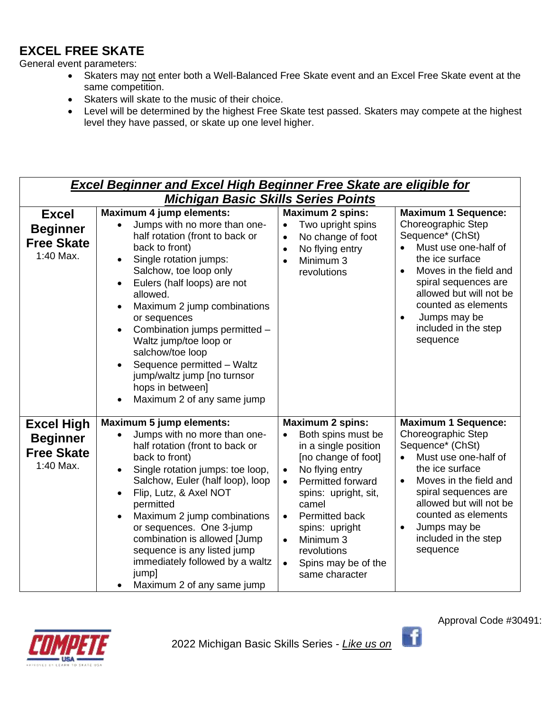## **EXCEL FREE SKATE**

General event parameters:

- Skaters may not enter both a Well-Balanced Free Skate event and an Excel Free Skate event at the same competition.
- Skaters will skate to the music of their choice.
- Level will be determined by the highest Free Skate test passed. Skaters may compete at the highest level they have passed, or skate up one level higher.

|                                                                        | <b>Excel Beginner and Excel High Beginner Free Skate are eligible for</b>                                                                                                                                                                                                                                                                                                                                                                                         |                                                                                                                                                                                                                                                                                                                                                              |                                                                                                                                                                                                                                                                                      |  |  |  |  |
|------------------------------------------------------------------------|-------------------------------------------------------------------------------------------------------------------------------------------------------------------------------------------------------------------------------------------------------------------------------------------------------------------------------------------------------------------------------------------------------------------------------------------------------------------|--------------------------------------------------------------------------------------------------------------------------------------------------------------------------------------------------------------------------------------------------------------------------------------------------------------------------------------------------------------|--------------------------------------------------------------------------------------------------------------------------------------------------------------------------------------------------------------------------------------------------------------------------------------|--|--|--|--|
|                                                                        | <b>Michigan Basic Skills Series Points</b>                                                                                                                                                                                                                                                                                                                                                                                                                        |                                                                                                                                                                                                                                                                                                                                                              |                                                                                                                                                                                                                                                                                      |  |  |  |  |
| <b>Excel</b><br><b>Beginner</b><br><b>Free Skate</b><br>1:40 Max.      | Maximum 4 jump elements:<br>Jumps with no more than one-<br>half rotation (front to back or<br>back to front)<br>Single rotation jumps:<br>Salchow, toe loop only<br>Eulers (half loops) are not<br>allowed.<br>Maximum 2 jump combinations<br>or sequences<br>Combination jumps permitted -<br>Waltz jump/toe loop or<br>salchow/toe loop<br>Sequence permitted - Waltz<br>jump/waltz jump [no turnsor<br>hops in between]<br>Maximum 2 of any same jump         | <b>Maximum 2 spins:</b><br>Two upright spins<br>$\bullet$<br>No change of foot<br>$\bullet$<br>No flying entry<br>$\bullet$<br>Minimum 3<br>$\bullet$<br>revolutions                                                                                                                                                                                         | <b>Maximum 1 Sequence:</b><br>Choreographic Step<br>Sequence* (ChSt)<br>Must use one-half of<br>the ice surface<br>Moves in the field and<br>spiral sequences are<br>allowed but will not be<br>counted as elements<br>Jumps may be<br>$\bullet$<br>included in the step<br>sequence |  |  |  |  |
| <b>Excel High</b><br><b>Beginner</b><br><b>Free Skate</b><br>1:40 Max. | <b>Maximum 5 jump elements:</b><br>Jumps with no more than one-<br>half rotation (front to back or<br>back to front)<br>Single rotation jumps: toe loop,<br>Salchow, Euler (half loop), loop<br>Flip, Lutz, & Axel NOT<br>permitted<br>Maximum 2 jump combinations<br>$\bullet$<br>or sequences. One 3-jump<br>combination is allowed [Jump<br>sequence is any listed jump<br>immediately followed by a waltz<br>jump]<br>Maximum 2 of any same jump<br>$\bullet$ | <b>Maximum 2 spins:</b><br>Both spins must be<br>$\bullet$<br>in a single position<br>[no change of foot]<br>No flying entry<br>$\bullet$<br>Permitted forward<br>$\bullet$<br>spins: upright, sit,<br>camel<br>Permitted back<br>$\bullet$<br>spins: upright<br>Minimum 3<br>$\bullet$<br>revolutions<br>Spins may be of the<br>$\bullet$<br>same character | <b>Maximum 1 Sequence:</b><br>Choreographic Step<br>Sequence* (ChSt)<br>Must use one-half of<br>$\bullet$<br>the ice surface<br>Moves in the field and<br>spiral sequences are<br>allowed but will not be<br>counted as elements<br>Jumps may be<br>included in the step<br>sequence |  |  |  |  |



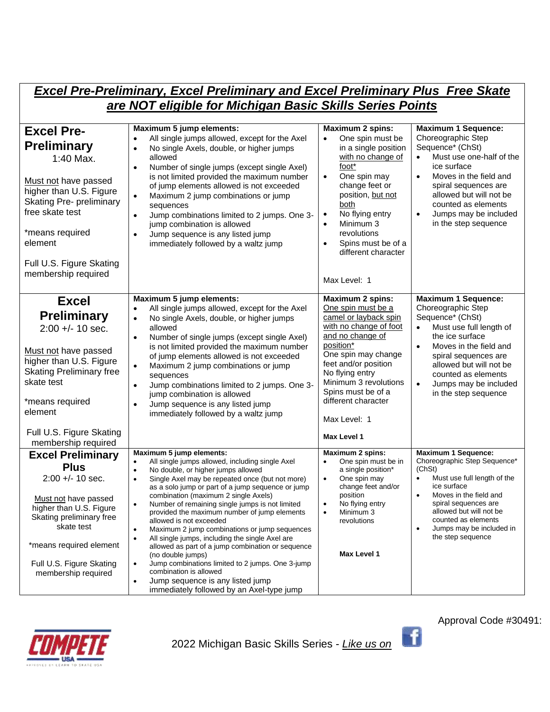## *Excel Pre-Preliminary, Excel Preliminary and Excel Preliminary Plus Free Skate are NOT eligible for Michigan Basic Skills Series Points*

| <b>Excel Pre-</b><br><b>Preliminary</b><br>1:40 Max.<br>Must not have passed<br>higher than U.S. Figure<br><b>Skating Pre- preliminary</b><br>free skate test<br>*means required<br>element<br>Full U.S. Figure Skating<br>membership required | Maximum 5 jump elements:<br>All single jumps allowed, except for the Axel<br>$\bullet$<br>No single Axels, double, or higher jumps<br>$\bullet$<br>allowed<br>Number of single jumps (except single Axel)<br>$\bullet$<br>is not limited provided the maximum number<br>of jump elements allowed is not exceeded<br>Maximum 2 jump combinations or jump<br>$\bullet$<br>sequences<br>Jump combinations limited to 2 jumps. One 3-<br>$\bullet$<br>jump combination is allowed<br>Jump sequence is any listed jump<br>$\bullet$<br>immediately followed by a waltz jump                                                                                                                                                                                                                                                     | <b>Maximum 2 spins:</b><br>One spin must be<br>$\bullet$<br>in a single position<br>with no change of<br>foot*<br>One spin may<br>$\bullet$<br>change feet or<br>position, but not<br>both<br>No flying entry<br>$\bullet$<br>Minimum 3<br>$\bullet$<br>revolutions<br>Spins must be of a<br>different character<br>Max Level: 1 | <b>Maximum 1 Sequence:</b><br>Choreographic Step<br>Sequence* (ChSt)<br>Must use one-half of the<br>ice surface<br>Moves in the field and<br>spiral sequences are<br>allowed but will not be<br>counted as elements<br>Jumps may be included<br>$\bullet$<br>in the step sequence    |
|------------------------------------------------------------------------------------------------------------------------------------------------------------------------------------------------------------------------------------------------|----------------------------------------------------------------------------------------------------------------------------------------------------------------------------------------------------------------------------------------------------------------------------------------------------------------------------------------------------------------------------------------------------------------------------------------------------------------------------------------------------------------------------------------------------------------------------------------------------------------------------------------------------------------------------------------------------------------------------------------------------------------------------------------------------------------------------|----------------------------------------------------------------------------------------------------------------------------------------------------------------------------------------------------------------------------------------------------------------------------------------------------------------------------------|--------------------------------------------------------------------------------------------------------------------------------------------------------------------------------------------------------------------------------------------------------------------------------------|
| <b>Excel</b><br><b>Preliminary</b><br>$2:00 +/- 10$ sec.<br>Must not have passed<br>higher than U.S. Figure<br><b>Skating Preliminary free</b><br>skate test<br>*means required<br>element<br>Full U.S. Figure Skating<br>membership required  | Maximum 5 jump elements:<br>All single jumps allowed, except for the Axel<br>No single Axels, double, or higher jumps<br>allowed<br>Number of single jumps (except single Axel)<br>$\bullet$<br>is not limited provided the maximum number<br>of jump elements allowed is not exceeded<br>Maximum 2 jump combinations or jump<br>$\bullet$<br>sequences<br>Jump combinations limited to 2 jumps. One 3-<br>$\bullet$<br>jump combination is allowed<br>Jump sequence is any listed jump<br>immediately followed by a waltz jump                                                                                                                                                                                                                                                                                            | <b>Maximum 2 spins:</b><br>One spin must be a<br>camel or layback spin<br>with no change of foot<br>and no change of<br>position*<br>One spin may change<br>feet and/or position<br>No flying entry<br>Minimum 3 revolutions<br>Spins must be of a<br>different character<br>Max Level: 1<br>Max Level 1                         | <b>Maximum 1 Sequence:</b><br>Choreographic Step<br>Sequence* (ChSt)<br>Must use full length of<br>the ice surface<br>Moves in the field and<br>spiral sequences are<br>allowed but will not be<br>counted as elements<br>Jumps may be included<br>in the step sequence              |
| <b>Excel Preliminary</b><br><b>Plus</b><br>$2:00 +/- 10$ sec.<br>Must not have passed<br>higher than U.S. Figure<br>Skating preliminary free<br>skate test<br>*means required element<br>Full U.S. Figure Skating<br>membership required       | Maximum 5 jump elements:<br>All single jumps allowed, including single Axel<br>$\bullet$<br>No double, or higher jumps allowed<br>$\bullet$<br>Single Axel may be repeated once (but not more)<br>$\bullet$<br>as a solo jump or part of a jump sequence or jump<br>combination (maximum 2 single Axels)<br>Number of remaining single jumps is not limited<br>$\bullet$<br>provided the maximum number of jump elements<br>allowed is not exceeded<br>Maximum 2 jump combinations or jump sequences<br>All single jumps, including the single Axel are<br>allowed as part of a jump combination or sequence<br>(no double jumps)<br>Jump combinations limited to 2 jumps. One 3-jump<br>$\bullet$<br>combination is allowed<br>Jump sequence is any listed jump<br>$\bullet$<br>immediately followed by an Axel-type jump | <b>Maximum 2 spins:</b><br>One spin must be in<br>a single position*<br>One spin may<br>$\bullet$<br>change feet and/or<br>position<br>No flying entry<br>$\bullet$<br>Minimum 3<br>revolutions<br>Max Level 1                                                                                                                   | <b>Maximum 1 Sequence:</b><br>Choreographic Step Sequence*<br>(ChSt)<br>Must use full length of the<br>$\bullet$<br>ice surface<br>Moves in the field and<br>spiral sequences are<br>allowed but will not be<br>counted as elements<br>Jumps may be included in<br>the step sequence |



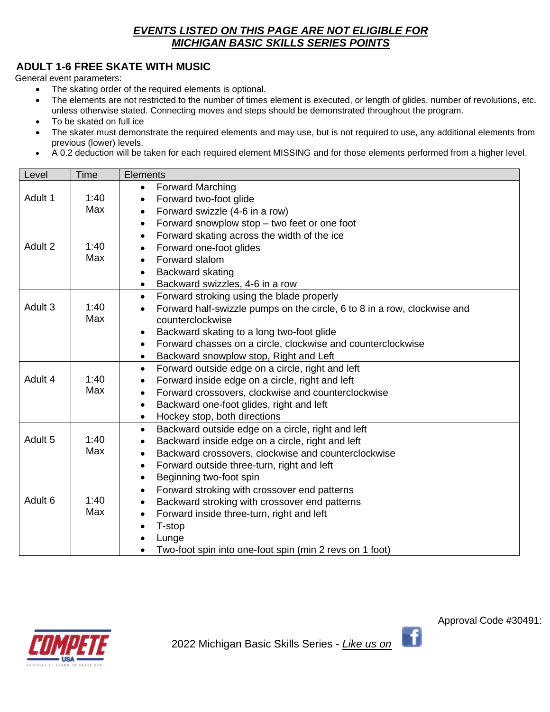## *EVENTS LISTED ON THIS PAGE ARE NOT ELIGIBLE FOR MICHIGAN BASIC SKILLS SERIES POINTS*

## **ADULT 1-6 FREE SKATE WITH MUSIC**

General event parameters:

- The skating order of the required elements is optional.
- The elements are not restricted to the number of times element is executed, or length of glides, number of revolutions, etc. unless otherwise stated. Connecting moves and steps should be demonstrated throughout the program.
- To be skated on full ice
- The skater must demonstrate the required elements and may use, but is not required to use, any additional elements from previous (lower) levels.
- A 0.2 deduction will be taken for each required element MISSING and for those elements performed from a higher level.

| Level              | <b>Time</b> | <b>Elements</b>                                                          |  |  |  |
|--------------------|-------------|--------------------------------------------------------------------------|--|--|--|
|                    |             | <b>Forward Marching</b><br>$\bullet$                                     |  |  |  |
| Adult 1            | 1:40        | Forward two-foot glide<br>$\bullet$                                      |  |  |  |
|                    | Max         | Forward swizzle (4-6 in a row)<br>$\bullet$                              |  |  |  |
|                    |             | Forward snowplow stop – two feet or one foot<br>$\bullet$                |  |  |  |
|                    |             | Forward skating across the width of the ice<br>$\bullet$                 |  |  |  |
| Adult 2            | 1:40        | Forward one-foot glides                                                  |  |  |  |
|                    | Max         | Forward slalom<br>$\bullet$                                              |  |  |  |
|                    |             | Backward skating<br>$\bullet$                                            |  |  |  |
|                    |             | Backward swizzles, 4-6 in a row<br>$\bullet$                             |  |  |  |
|                    |             | Forward stroking using the blade properly<br>$\bullet$                   |  |  |  |
| Adult 3            | 1:40        | Forward half-swizzle pumps on the circle, 6 to 8 in a row, clockwise and |  |  |  |
|                    | Max         | counterclockwise                                                         |  |  |  |
|                    |             | Backward skating to a long two-foot glide<br>$\bullet$                   |  |  |  |
|                    |             | Forward chasses on a circle, clockwise and counterclockwise<br>$\bullet$ |  |  |  |
|                    |             | Backward snowplow stop, Right and Left<br>$\bullet$                      |  |  |  |
|                    |             | Forward outside edge on a circle, right and left<br>$\bullet$            |  |  |  |
| Adult 4            | 1:40        | Forward inside edge on a circle, right and left<br>$\bullet$             |  |  |  |
|                    | Max         | Forward crossovers, clockwise and counterclockwise<br>$\bullet$          |  |  |  |
|                    |             | Backward one-foot glides, right and left<br>$\bullet$                    |  |  |  |
|                    |             | Hockey stop, both directions<br>$\bullet$                                |  |  |  |
|                    |             | Backward outside edge on a circle, right and left<br>$\bullet$           |  |  |  |
| Adult <sub>5</sub> | 1:40        | Backward inside edge on a circle, right and left<br>$\bullet$            |  |  |  |
|                    | Max         | Backward crossovers, clockwise and counterclockwise<br>$\bullet$         |  |  |  |
|                    |             | Forward outside three-turn, right and left<br>$\bullet$                  |  |  |  |
|                    |             | Beginning two-foot spin<br>$\bullet$                                     |  |  |  |
|                    |             | Forward stroking with crossover end patterns<br>$\bullet$                |  |  |  |
| Adult <sub>6</sub> | 1:40        | Backward stroking with crossover end patterns<br>$\bullet$               |  |  |  |
|                    | Max         | Forward inside three-turn, right and left<br>$\bullet$                   |  |  |  |
|                    |             | T-stop                                                                   |  |  |  |
|                    |             | Lunge                                                                    |  |  |  |
|                    |             | Two-foot spin into one-foot spin (min 2 revs on 1 foot)                  |  |  |  |



-fi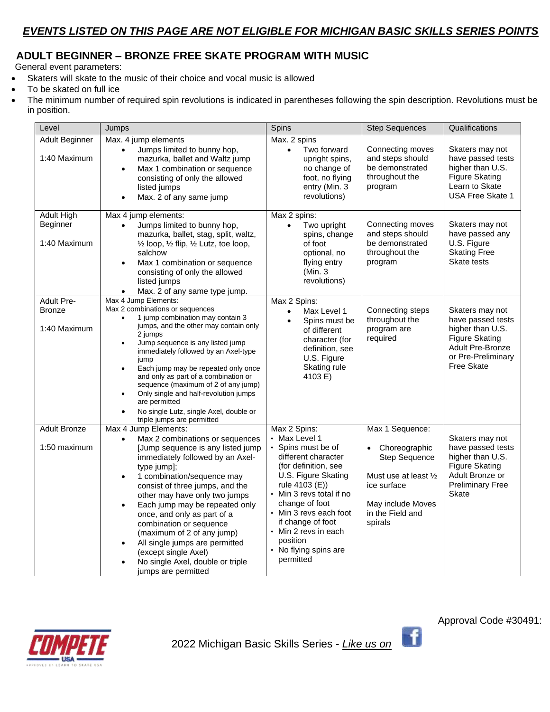## **ADULT BEGINNER – BRONZE FREE SKATE PROGRAM WITH MUSIC**

General event parameters:

- Skaters will skate to the music of their choice and vocal music is allowed
- To be skated on full ice
- The minimum number of required spin revolutions is indicated in parentheses following the spin description. Revolutions must be in position.

| Level                         | Jumps                                                                                                                                                                                                                                                                                                                                                                                                                                                                                                                                     | Spins                                                                                                                                                                                                                                                                                   | <b>Step Sequences</b>                                                                                                             | Qualifications                                                                                                                |
|-------------------------------|-------------------------------------------------------------------------------------------------------------------------------------------------------------------------------------------------------------------------------------------------------------------------------------------------------------------------------------------------------------------------------------------------------------------------------------------------------------------------------------------------------------------------------------------|-----------------------------------------------------------------------------------------------------------------------------------------------------------------------------------------------------------------------------------------------------------------------------------------|-----------------------------------------------------------------------------------------------------------------------------------|-------------------------------------------------------------------------------------------------------------------------------|
| Adult Beginner                | Max. 4 jump elements<br>Jumps limited to bunny hop,<br>$\bullet$                                                                                                                                                                                                                                                                                                                                                                                                                                                                          | Max. 2 spins<br>Two forward<br>$\bullet$                                                                                                                                                                                                                                                | Connecting moves                                                                                                                  | Skaters may not                                                                                                               |
| 1:40 Maximum                  | mazurka, ballet and Waltz jump<br>Max 1 combination or sequence<br>$\bullet$<br>consisting of only the allowed<br>listed jumps<br>Max. 2 of any same jump<br>$\bullet$                                                                                                                                                                                                                                                                                                                                                                    | upright spins,<br>no change of<br>foot, no flying<br>entry (Min. 3<br>revolutions)                                                                                                                                                                                                      | and steps should<br>be demonstrated<br>throughout the<br>program                                                                  | have passed tests<br>higher than U.S.<br>Figure Skating<br>Learn to Skate<br><b>USA Free Skate 1</b>                          |
| <b>Adult High</b><br>Beginner | Max 4 jump elements:<br>Jumps limited to bunny hop,<br>$\bullet$                                                                                                                                                                                                                                                                                                                                                                                                                                                                          | Max 2 spins:<br>Two upright<br>$\bullet$                                                                                                                                                                                                                                                | Connecting moves                                                                                                                  | Skaters may not                                                                                                               |
| 1:40 Maximum                  | mazurka, ballet, stag, split, waltz,<br>1/2 loop, 1/2 flip, 1/2 Lutz, toe loop,<br>salchow<br>Max 1 combination or sequence<br>$\bullet$<br>consisting of only the allowed<br>listed jumps                                                                                                                                                                                                                                                                                                                                                | spins, change<br>of foot<br>optional, no<br>flying entry<br>(Min. 3<br>revolutions)                                                                                                                                                                                                     | and steps should<br>be demonstrated<br>throughout the<br>program                                                                  | have passed any<br>U.S. Figure<br><b>Skating Free</b><br>Skate tests                                                          |
| <b>Adult Pre-</b>             | Max. 2 of any same type jump.<br>Max 4 Jump Elements:                                                                                                                                                                                                                                                                                                                                                                                                                                                                                     | Max 2 Spins:                                                                                                                                                                                                                                                                            |                                                                                                                                   |                                                                                                                               |
| <b>Bronze</b>                 | Max 2 combinations or sequences                                                                                                                                                                                                                                                                                                                                                                                                                                                                                                           | Max Level 1<br>$\bullet$                                                                                                                                                                                                                                                                | Connecting steps                                                                                                                  | Skaters may not                                                                                                               |
| 1:40 Maximum                  | 1 jump combination may contain 3<br>$\bullet$<br>jumps, and the other may contain only<br>2 jumps<br>Jump sequence is any listed jump<br>$\bullet$<br>immediately followed by an Axel-type<br>jump<br>Each jump may be repeated only once<br>$\bullet$<br>and only as part of a combination or<br>sequence (maximum of 2 of any jump)<br>Only single and half-revolution jumps<br>$\bullet$<br>are permitted<br>No single Lutz, single Axel, double or<br>$\bullet$<br>triple jumps are permitted                                         | Spins must be<br>$\bullet$<br>of different<br>character (for<br>definition, see<br>U.S. Figure<br>Skating rule<br>4103 E)                                                                                                                                                               | throughout the<br>program are<br>required                                                                                         | have passed tests<br>higher than U.S.<br><b>Figure Skating</b><br>Adult Pre-Bronze<br>or Pre-Preliminary<br><b>Free Skate</b> |
| <b>Adult Bronze</b>           | Max 4 Jump Elements:                                                                                                                                                                                                                                                                                                                                                                                                                                                                                                                      | Max 2 Spins:<br>• Max Level 1                                                                                                                                                                                                                                                           | Max 1 Sequence:                                                                                                                   | Skaters may not                                                                                                               |
| 1:50 maximum                  | Max 2 combinations or sequences<br>$\bullet$<br>[Jump sequence is any listed jump<br>immediately followed by an Axel-<br>type jump];<br>1 combination/sequence may<br>$\bullet$<br>consist of three jumps, and the<br>other may have only two jumps<br>Each jump may be repeated only<br>$\bullet$<br>once, and only as part of a<br>combination or sequence<br>(maximum of 2 of any jump)<br>All single jumps are permitted<br>$\bullet$<br>(except single Axel)<br>No single Axel, double or triple<br>$\bullet$<br>jumps are permitted | • Spins must be of<br>different character<br>(for definition, see<br>U.S. Figure Skating<br>rule 4103 (E))<br>• Min 3 revs total if no<br>change of foot<br>• Min 3 revs each foot<br>if change of foot<br>$\cdot$ Min 2 revs in each<br>position<br>• No flying spins are<br>permitted | Choreographic<br><b>Step Sequence</b><br>Must use at least 1/2<br>ice surface<br>May include Moves<br>in the Field and<br>spirals | have passed tests<br>higher than U.S.<br><b>Figure Skating</b><br>Adult Bronze or<br><b>Preliminary Free</b><br><b>Skate</b>  |



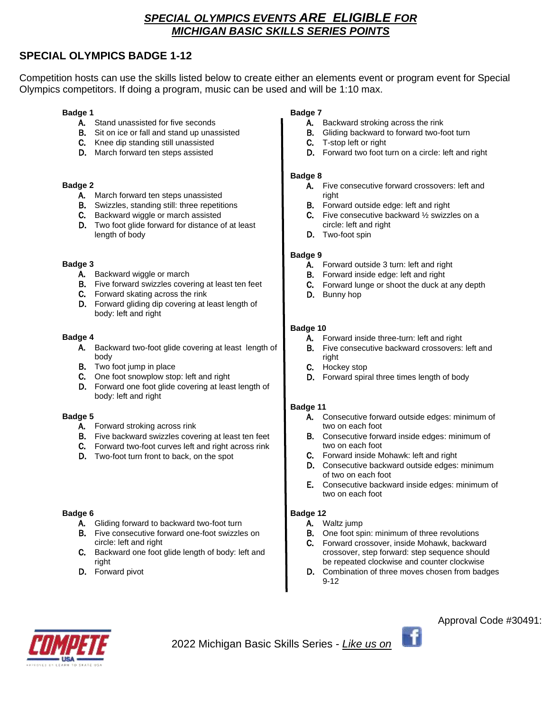## *SPECIAL OLYMPICS EVENTS ARE ELIGIBLE FOR MICHIGAN BASIC SKILLS SERIES POINTS*

## **SPECIAL OLYMPICS BADGE 1-12**

Competition hosts can use the skills listed below to create either an elements event or program event for Special Olympics competitors. If doing a program, music can be used and will be 1:10 max.

#### **Badge 1**

- A. Stand unassisted for five seconds
- B. Sit on ice or fall and stand up unassisted
- C. Knee dip standing still unassisted
- D. March forward ten steps assisted

#### **Badge 2**

- A. March forward ten steps unassisted
- B. Swizzles, standing still: three repetitions
- C. Backward wiggle or march assisted
- D. Two foot glide forward for distance of at least length of body

#### **Badge 3**

- A. Backward wiggle or march
- B. Five forward swizzles covering at least ten feet
- C. Forward skating across the rink
- D. Forward gliding dip covering at least length of body: left and right

#### **Badge 4**

- A. Backward two-foot glide covering at least length of body
- B. Two foot jump in place
- C. One foot snowplow stop: left and right
- D. Forward one foot glide covering at least length of body: left and right

#### **Badge 5**

- A. Forward stroking across rink
- B. Five backward swizzles covering at least ten feet
- C. Forward two-foot curves left and right across rink
- D. Two-foot turn front to back, on the spot

#### **Badge 6**

- A. Gliding forward to backward two-foot turn
- B. Five consecutive forward one-foot swizzles on circle: left and right
- C. Backward one foot glide length of body: left and right
- D. Forward pivot

#### **Badge 7**

- A. Backward stroking across the rink
- B. Gliding backward to forward two-foot turn
- C. T-stop left or right
- D. Forward two foot turn on a circle: left and right

#### **Badge 8**

- A. Five consecutive forward crossovers: left and right
- B. Forward outside edge: left and right
- C. Five consecutive backward ½ swizzles on a circle: left and right
- D. Two-foot spin

#### **Badge 9**

- A. Forward outside 3 turn: left and right
- B. Forward inside edge: left and right
- C. Forward lunge or shoot the duck at any depth
- D. Bunny hop

#### **Badge 10**

- A. Forward inside three-turn: left and right
- **B.** Five consecutive backward crossovers: left and right
- C. Hockey stop
- D. Forward spiral three times length of body

#### **Badge 11**

- A. Consecutive forward outside edges: minimum of two on each foot
- B. Consecutive forward inside edges: minimum of two on each foot
- C. Forward inside Mohawk: left and right
- D. Consecutive backward outside edges: minimum of two on each foot
- E. Consecutive backward inside edges: minimum of two on each foot

#### **Badge 12**

- A. Waltz jump
- **B.** One foot spin: minimum of three revolutions
- C. Forward crossover, inside Mohawk, backward crossover, step forward: step sequence should be repeated clockwise and counter clockwise
- D. Combination of three moves chosen from badges 9-12



2022 Michigan Basic Skills Series - *Like us on* 

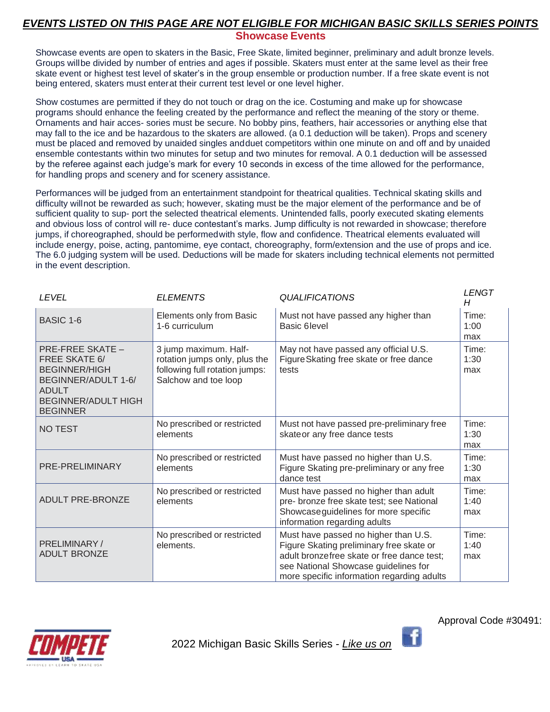## *EVENTS LISTED ON THIS PAGE ARE NOT ELIGIBLE FOR MICHIGAN BASIC SKILLS SERIES POINTS* **Showcase Events**

Showcase events are open to skaters in the Basic, Free Skate, limited beginner, preliminary and adult bronze levels. Groups willbe divided by number of entries and ages if possible. Skaters must enter at the same level as their free skate event or highest test level of skater's in the group ensemble or production number. If a free skate event is not being entered, skaters must enterat their current test level or one level higher.

Show costumes are permitted if they do not touch or drag on the ice. Costuming and make up for showcase programs should enhance the feeling created by the performance and reflect the meaning of the story or theme. Ornaments and hair acces- sories must be secure. No bobby pins, feathers, hair accessories or anything else that may fall to the ice and be hazardous to the skaters are allowed. (a 0.1 deduction will be taken). Props and scenery must be placed and removed by unaided singles andduet competitors within one minute on and off and by unaided ensemble contestants within two minutes for setup and two minutes for removal. A 0.1 deduction will be assessed by the referee against each judge's mark for every 10 seconds in excess of the time allowed for the performance, for handling props and scenery and for scenery assistance.

Performances will be judged from an entertainment standpoint for theatrical qualities. Technical skating skills and difficulty willnot be rewarded as such; however, skating must be the major element of the performance and be of sufficient quality to sup- port the selected theatrical elements. Unintended falls, poorly executed skating elements and obvious loss of control will re- duce contestant's marks. Jump difficulty is not rewarded in showcase; therefore jumps, if choreographed, should be performedwith style, flow and confidence. Theatrical elements evaluated will include energy, poise, acting, pantomime, eye contact, choreography, form/extension and the use of props and ice. The 6.0 judging system will be used. Deductions will be made for skaters including technical elements not permitted in the event description.

| <b>LEVEL</b>                                                                                                                                                    | <b>ELEMENTS</b>                                                                                                  | <b>QUALIFICATIONS</b>                                                                                                                                                                                                | <b>LENGT</b><br>H    |
|-----------------------------------------------------------------------------------------------------------------------------------------------------------------|------------------------------------------------------------------------------------------------------------------|----------------------------------------------------------------------------------------------------------------------------------------------------------------------------------------------------------------------|----------------------|
| <b>BASIC 1-6</b>                                                                                                                                                | Elements only from Basic<br>1-6 curriculum                                                                       | Must not have passed any higher than<br>Basic 6 level                                                                                                                                                                | Time:<br>1:00<br>max |
| <b>PRE-FREE SKATE -</b><br><b>FREE SKATE 6/</b><br><b>BEGINNER/HIGH</b><br>BEGINNER/ADULT 1-6/<br><b>ADULT</b><br><b>BEGINNER/ADULT HIGH</b><br><b>BEGINNER</b> | 3 jump maximum. Half-<br>rotation jumps only, plus the<br>following full rotation jumps:<br>Salchow and toe loop | May not have passed any official U.S.<br>Figure Skating free skate or free dance<br>tests                                                                                                                            | Time:<br>1:30<br>max |
| <b>NO TEST</b>                                                                                                                                                  | No prescribed or restricted<br>elements                                                                          | Must not have passed pre-preliminary free<br>skateor any free dance tests                                                                                                                                            | Time:<br>1:30<br>max |
| PRE-PRELIMINARY                                                                                                                                                 | No prescribed or restricted<br>elements                                                                          | Must have passed no higher than U.S.<br>Figure Skating pre-preliminary or any free<br>dance test                                                                                                                     | Time:<br>1:30<br>max |
| ADULT PRE-BRONZE                                                                                                                                                | No prescribed or restricted<br>elements                                                                          | Must have passed no higher than adult<br>pre- bronze free skate test; see National<br>Showcase guidelines for more specific<br>information regarding adults                                                          | Time:<br>1:40<br>max |
| PRELIMINARY /<br><b>ADULT BRONZE</b>                                                                                                                            | No prescribed or restricted<br>elements.                                                                         | Must have passed no higher than U.S.<br>Figure Skating preliminary free skate or<br>adult bronzefree skate or free dance test;<br>see National Showcase guidelines for<br>more specific information regarding adults | Time:<br>1:40<br>max |



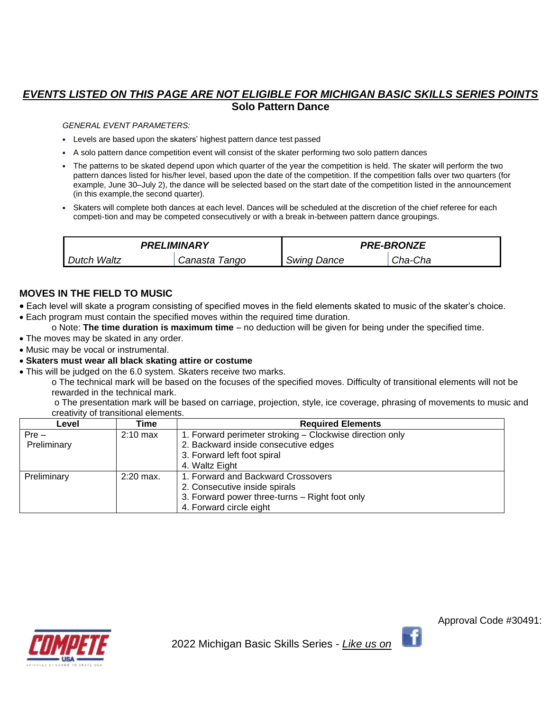### *EVENTS LISTED ON THIS PAGE ARE NOT ELIGIBLE FOR MICHIGAN BASIC SKILLS SERIES POINTS* **Solo Pattern Dance**

#### *GENERAL EVENT PARAMETERS:*

- Levels are based upon the skaters' highest pattern dance test passed
- A solo pattern dance competition event will consist of the skater performing two solo pattern dances
- The patterns to be skated depend upon which quarter of the year the competition is held. The skater will perform the two pattern dances listed for his/her level, based upon the date of the competition. If the competition falls over two quarters (for example, June 30–July 2), the dance will be selected based on the start date of the competition listed in the announcement (in this example,the second quarter).
- Skaters will complete both dances at each level. Dances will be scheduled at the discretion of the chief referee for each competi-tion and may be competed consecutively or with a break in-between pattern dance groupings.

| PRELIMINARY |                  | <b>PRE-BRONZE</b>  |         |
|-------------|------------------|--------------------|---------|
| Dutch Waltz | Canasta<br>Tango | <b>Swing Dance</b> | Cha-Cha |

#### **MOVES IN THE FIELD TO MUSIC**

- Each level will skate a program consisting of specified moves in the field elements skated to music of the skater's choice.
- Each program must contain the specified moves within the required time duration.
	- o Note: **The time duration is maximum time** no deduction will be given for being under the specified time.
- The moves may be skated in any order.
- Music may be vocal or instrumental.
- **Skaters must wear all black skating attire or costume**
- This will be judged on the 6.0 system. Skaters receive two marks.

o The technical mark will be based on the focuses of the specified moves. Difficulty of transitional elements will not be rewarded in the technical mark.

o The presentation mark will be based on carriage, projection, style, ice coverage, phrasing of movements to music and creativity of transitional elements.

| Level       | Time        | <b>Required Elements</b>                                 |
|-------------|-------------|----------------------------------------------------------|
| $Pre -$     | $2:10$ max  | 1. Forward perimeter stroking - Clockwise direction only |
| Preliminary |             | 2. Backward inside consecutive edges                     |
|             |             | 3. Forward left foot spiral                              |
|             |             | 4. Waltz Eight                                           |
| Preliminary | $2:20$ max. | 1. Forward and Backward Crossovers                       |
|             |             | 2. Consecutive inside spirals                            |
|             |             | 3. Forward power three-turns – Right foot only           |
|             |             | 4. Forward circle eight                                  |

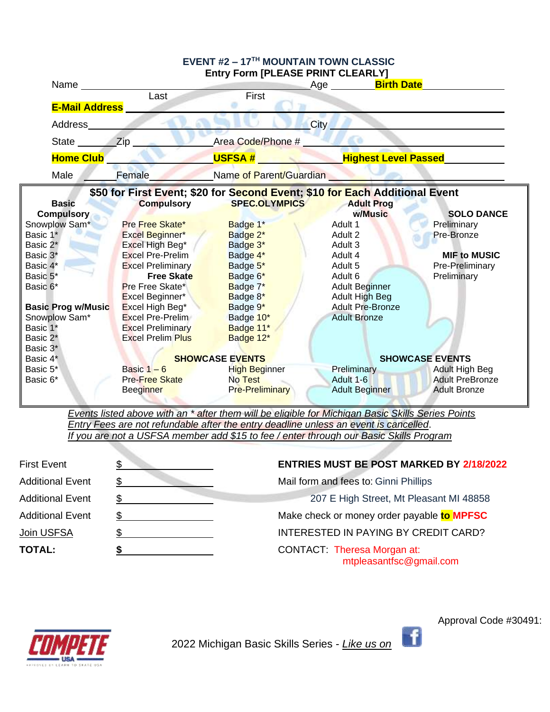| EVENT #2 - 17TH MOUNTAIN TOWN CLASSIC |                          |                                                                             |                                       |                        |
|---------------------------------------|--------------------------|-----------------------------------------------------------------------------|---------------------------------------|------------------------|
|                                       |                          | Entry Form [PLEASE PRINT CLEARLY]                                           |                                       |                        |
|                                       | Name <u> Last</u>        | First                                                                       | Age _________ <mark>Birth Date</mark> |                        |
|                                       |                          |                                                                             |                                       |                        |
| <b>E-Mail Address</b>                 |                          |                                                                             |                                       |                        |
| Address                               |                          |                                                                             | City                                  |                        |
| State <b>Zip</b>                      |                          | Area Code/Phone #                                                           |                                       |                        |
| <b>Home Club</b>                      |                          |                                                                             | USFSA # Highest Level Passed          |                        |
| Male                                  | Female                   | <b>Example of Parent/Guardian</b>                                           |                                       |                        |
|                                       |                          | \$50 for First Event; \$20 for Second Event; \$10 for Each Additional Event |                                       |                        |
| <b>Basic</b>                          | <b>Compulsory</b>        | SPEC.OLYMPICS<br><b>Contract Contract</b>                                   | <b>Adult Prog</b>                     |                        |
| <b>Compulsory</b>                     |                          |                                                                             | w/Music                               | <b>SOLO DANCE</b>      |
| Snowplow Sam*                         | Pre Free Skate*          | Badge 1*                                                                    | Adult 1                               | Preliminary            |
| Basic 1*                              | Excel Beginner*          | Badge 2*                                                                    | Adult 2                               | Pre-Bronze             |
| Basic 2*                              | Excel High Beg*          | Badge 3*                                                                    | Adult 3                               |                        |
| Basic 3*                              | <b>Excel Pre-Prelim</b>  | Badge 4*                                                                    | Adult 4                               | <b>MIF to MUSIC</b>    |
| Basic 4*                              | <b>Excel Preliminary</b> | Badge 5*                                                                    | Adult 5                               | Pre-Preliminary        |
| Basic 5*                              | <b>Free Skate</b>        | Badge 6*                                                                    | Adult 6                               | Preliminary            |
| Basic 6*                              | <b>Pre Free Skate*</b>   | Badge 7*                                                                    | <b>Adult Beginner</b>                 |                        |
|                                       | Excel Beginner*          | Badge 8*                                                                    | <b>Adult High Beg</b>                 |                        |
| <b>Basic Prog w/Music</b>             | Excel High Beg*          | Badge 9*                                                                    | <b>Adult Pre-Bronze</b>               |                        |
| Snowplow Sam*                         | <b>Excel Pre-Prelim</b>  | Badge 10*                                                                   | <b>Adult Bronze</b>                   |                        |
| Basic 1*                              | <b>Excel Preliminary</b> | Badge 11*                                                                   |                                       |                        |
| Basic 2*                              | <b>Excel Prelim Plus</b> | Badge 12*                                                                   |                                       |                        |
| Basic 3*                              |                          |                                                                             |                                       |                        |
| Basic 4*                              |                          | <b>SHOWCASE EVENTS</b>                                                      |                                       | <b>SHOWCASE EVENTS</b> |
| Basic 5*                              | Basic $1 - 6$            | High Beginner                                                               | Preliminary                           | Adult High Beg         |
| Basic 6*                              | <b>Pre-Free Skate</b>    | No Test                                                                     | Adult 1-6                             | <b>Adult PreBronze</b> |
|                                       | <b>Beeginner</b>         | <b>Pre-Preliminary</b>                                                      | <b>Adult Beginner</b>                 | <b>Adult Bronze</b>    |
|                                       |                          |                                                                             |                                       |                        |

*Events listed above with an \* after them will be eligible for Michigan Basic Skills Series Points Entry Fees are not refundable after the entry deadline unless an event is cancelled*. *If you are not a USFSA member add \$15 to fee / enter through our Basic Skills Program*

| <b>First Event</b>      | <b>ENTRIES MUST BE POST MARKED BY 2/18/2022</b>               |
|-------------------------|---------------------------------------------------------------|
| <b>Additional Event</b> | Mail form and fees to: Ginni Phillips                         |
| <b>Additional Event</b> | 207 E High Street, Mt Pleasant MI 48858                       |
| <b>Additional Event</b> | Make check or money order payable to MPFSC                    |
| Join USFSA              | INTERESTED IN PAYING BY CREDIT CARD?                          |
| <b>TOTAL:</b>           | <b>CONTACT: Theresa Morgan at:</b><br>mtpleasantfsc@gmail.com |



2022 Michigan Basic Skills Series - *Like us on* 

Approval Code #30491:

f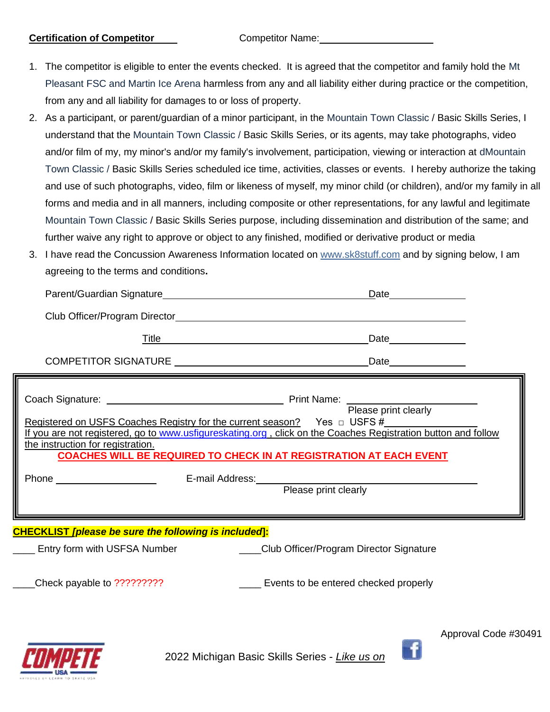#### **Certification of Competitor** Competitor Competitor Name:

- 1. The competitor is eligible to enter the events checked. It is agreed that the competitor and family hold the Mt Pleasant FSC and Martin Ice Arena harmless from any and all liability either during practice or the competition, from any and all liability for damages to or loss of property.
- 2. As a participant, or parent/guardian of a minor participant, in the Mountain Town Classic / Basic Skills Series, I understand that the Mountain Town Classic / Basic Skills Series, or its agents, may take photographs, video and/or film of my, my minor's and/or my family's involvement, participation, viewing or interaction at dMountain Town Classic / Basic Skills Series scheduled ice time, activities, classes or events. I hereby authorize the taking and use of such photographs, video, film or likeness of myself, my minor child (or children), and/or my family in all forms and media and in all manners, including composite or other representations, for any lawful and legitimate Mountain Town Classic / Basic Skills Series purpose, including dissemination and distribution of the same; and further waive any right to approve or object to any finished, modified or derivative product or media
- 3. I have read the Concussion Awareness Information located on [www.sk8stuff.com](http://www.sk8stuff.com/) and by signing below, I am agreeing to the terms and conditions**.**

| Date______________<br>Registered on USFS Coaches Registry for the current season? Yes $\Box$ USFS #<br>If you are not registered, go to www.usfigureskating.org, click on the Coaches Registration button and follow<br>the instruction for registration.<br><b>COACHES WILL BE REQUIRED TO CHECK IN AT REGISTRATION AT EACH EVENT</b><br>Entry form with USFSA Number ______________Club Officer/Program Director Signature | <u>Date ______________</u> |
|------------------------------------------------------------------------------------------------------------------------------------------------------------------------------------------------------------------------------------------------------------------------------------------------------------------------------------------------------------------------------------------------------------------------------|----------------------------|
|                                                                                                                                                                                                                                                                                                                                                                                                                              |                            |
|                                                                                                                                                                                                                                                                                                                                                                                                                              |                            |
|                                                                                                                                                                                                                                                                                                                                                                                                                              |                            |
|                                                                                                                                                                                                                                                                                                                                                                                                                              |                            |
|                                                                                                                                                                                                                                                                                                                                                                                                                              |                            |
| <b>CHECKLIST</b> [please be sure the following is included]:                                                                                                                                                                                                                                                                                                                                                                 |                            |
|                                                                                                                                                                                                                                                                                                                                                                                                                              |                            |
|                                                                                                                                                                                                                                                                                                                                                                                                                              |                            |
| Events to be entered checked properly<br>Check payable to ?????????                                                                                                                                                                                                                                                                                                                                                          |                            |



2022 Michigan Basic Skills Series - *Like us on* 

Approval Code #30491

f